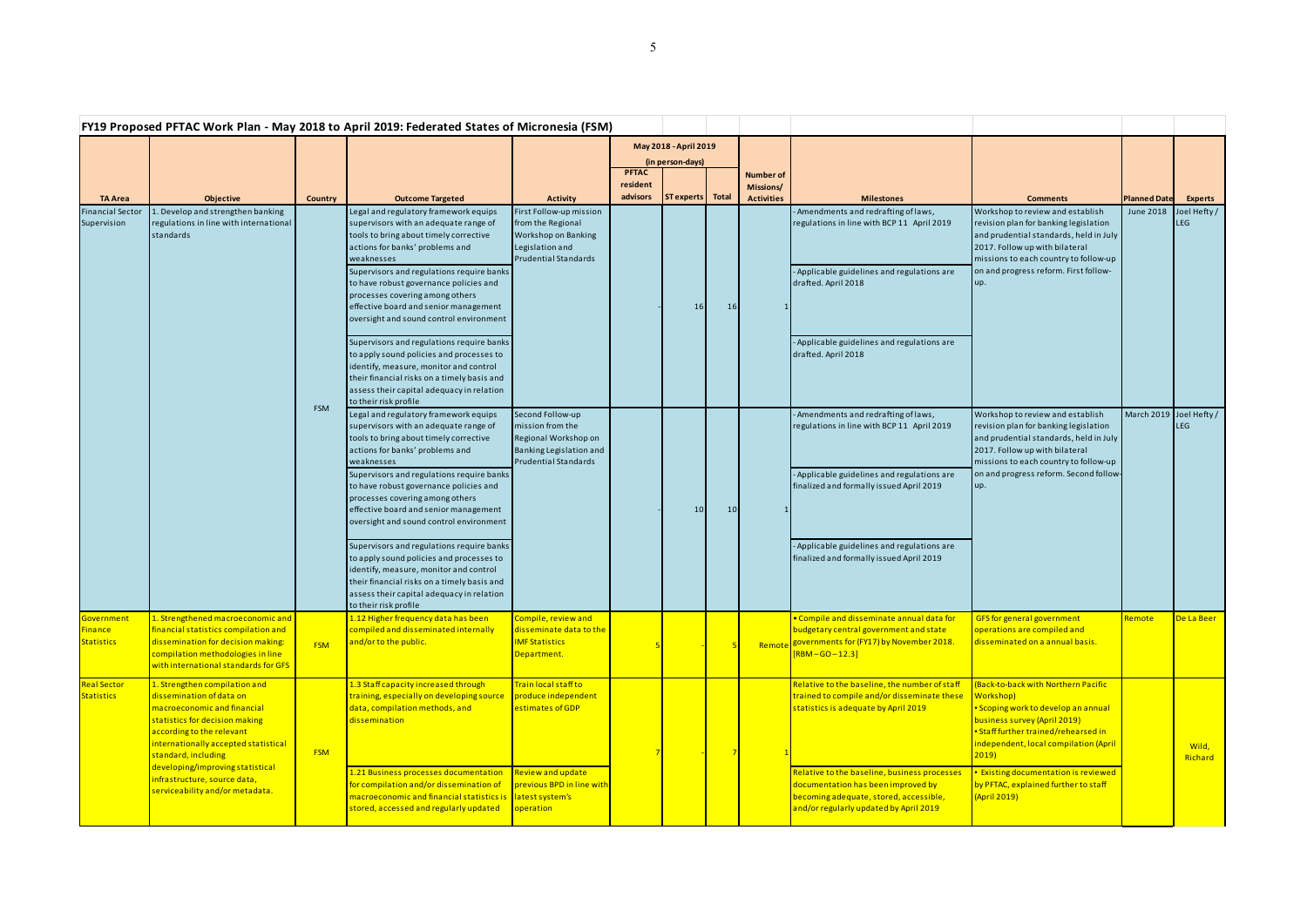|                                            | FY19 Proposed PFTAC Work Plan - May 2018 to April 2019: Federated States of Micronesia (FSM)                                                                                                                                                                                                                                  |                |                                                                                                                                                                                                                                                                                                                                                                                         |                                                                                                                              |                                                           |                   |           |                                                    |                                                                                                                                                                        |                                                                                                                                                                                                                                                                                                                              |                         |                            |
|--------------------------------------------|-------------------------------------------------------------------------------------------------------------------------------------------------------------------------------------------------------------------------------------------------------------------------------------------------------------------------------|----------------|-----------------------------------------------------------------------------------------------------------------------------------------------------------------------------------------------------------------------------------------------------------------------------------------------------------------------------------------------------------------------------------------|------------------------------------------------------------------------------------------------------------------------------|-----------------------------------------------------------|-------------------|-----------|----------------------------------------------------|------------------------------------------------------------------------------------------------------------------------------------------------------------------------|------------------------------------------------------------------------------------------------------------------------------------------------------------------------------------------------------------------------------------------------------------------------------------------------------------------------------|-------------------------|----------------------------|
|                                            |                                                                                                                                                                                                                                                                                                                               |                |                                                                                                                                                                                                                                                                                                                                                                                         |                                                                                                                              | May 2018 - April 2019<br>(in person-days)<br><b>PFTAC</b> |                   |           |                                                    |                                                                                                                                                                        |                                                                                                                                                                                                                                                                                                                              |                         |                            |
| <b>TA Area</b>                             | <b>Objective</b>                                                                                                                                                                                                                                                                                                              | <b>Country</b> | <b>Outcome Targeted</b>                                                                                                                                                                                                                                                                                                                                                                 | <b>Activity</b>                                                                                                              | resident<br>advisors                                      | <b>ST</b> experts | Total     | <b>Number of</b><br>Missions/<br><b>Activities</b> | <b>Milestones</b>                                                                                                                                                      | <b>Comments</b>                                                                                                                                                                                                                                                                                                              | <b>Planned Date</b>     | <b>Experts</b>             |
| <b>Financial Sector</b><br>Supervision     | . Develop and strengthen banking<br>regulations in line with international<br>standards                                                                                                                                                                                                                                       | <b>FSM</b>     | Legal and regulatory framework equips<br>supervisors with an adequate range of<br>tools to bring about timely corrective<br>actions for banks' problems and<br>weaknesses<br>Supervisors and regulations require banks<br>to have robust governance policies and<br>processes covering among others<br>effective board and senior management<br>oversight and sound control environment | First Follow-up mission<br>from the Regional<br><b>Workshop on Banking</b><br>Legislation and<br><b>Prudential Standards</b> |                                                           | <b>16</b>         | <b>16</b> |                                                    | Amendments and redrafting of laws,<br>regulations in line with BCP 11 April 2019<br>- Applicable guidelines and regulations are<br>drafted. April 2018                 | Workshop to review and establish<br>revision plan for banking legislation<br>and prudential standards, held in July<br>2017. Follow up with bilateral<br>missions to each country to follow-up<br>on and progress reform. First follow-<br>up.                                                                               | <b>June 2018</b>        | Joel Hefty /<br><b>LEG</b> |
|                                            |                                                                                                                                                                                                                                                                                                                               |                | Supervisors and regulations require banks<br>to apply sound policies and processes to<br>identify, measure, monitor and control<br>their financial risks on a timely basis and<br>assess their capital adequacy in relation<br>to their risk profile                                                                                                                                    |                                                                                                                              |                                                           |                   |           |                                                    | - Applicable guidelines and regulations are<br>drafted. April 2018                                                                                                     |                                                                                                                                                                                                                                                                                                                              |                         |                            |
|                                            |                                                                                                                                                                                                                                                                                                                               |                | Legal and regulatory framework equips<br>supervisors with an adequate range of<br>tools to bring about timely corrective<br>actions for banks' problems and<br>weaknesses                                                                                                                                                                                                               | Second Follow-up<br>mission from the<br>Regional Workshop on<br>Banking Legislation and<br><b>Prudential Standards</b>       |                                                           | 10 <sup>1</sup>   | 10        |                                                    | - Amendments and redrafting of laws,<br>regulations in line with BCP 11 April 2019                                                                                     | Workshop to review and establish<br>revision plan for banking legislation<br>and prudential standards, held in July<br>2017. Follow up with bilateral<br>missions to each country to follow-up<br>on and progress reform. Second follow-<br>up.                                                                              | March 2019 Joel Hefty / | <b>LEG</b>                 |
|                                            |                                                                                                                                                                                                                                                                                                                               |                | Supervisors and regulations require banks<br>to have robust governance policies and<br>processes covering among others<br>effective board and senior management<br>oversight and sound control environment                                                                                                                                                                              |                                                                                                                              |                                                           |                   |           |                                                    | - Applicable guidelines and regulations are<br>finalized and formally issued April 2019                                                                                |                                                                                                                                                                                                                                                                                                                              |                         |                            |
|                                            |                                                                                                                                                                                                                                                                                                                               |                | Supervisors and regulations require banks<br>to apply sound policies and processes to<br>identify, measure, monitor and control<br>their financial risks on a timely basis and<br>assess their capital adequacy in relation<br>to their risk profile                                                                                                                                    |                                                                                                                              |                                                           |                   |           |                                                    | - Applicable guidelines and regulations are<br>finalized and formally issued April 2019                                                                                |                                                                                                                                                                                                                                                                                                                              |                         |                            |
| Government<br>Finance<br><b>Statistics</b> | 1. Strengthened macroeconomic and<br>financial statistics compilation and<br>dissemination for decision making:<br>compilation methodologies in line<br>with international standards for GFS                                                                                                                                  | <b>FSM</b>     | 1.12 Higher frequency data has been<br>compiled and disseminated internally<br>and/or to the public.                                                                                                                                                                                                                                                                                    | Compile, review and<br>disseminate data to the<br><b>IMF Statistics</b><br>Department.                                       |                                                           |                   |           | Remote                                             | . Compile and disseminate annual data for<br>budgetary central government and state<br>governments for (FY17) by November 2018.<br>$[RBM-GO-12.3]$                     | GFS for general government<br>operations are compiled and<br>disseminated on a annual basis.                                                                                                                                                                                                                                 | Remote                  | De La Beer                 |
| <b>Real Sector</b><br><b>Statistics</b>    | 1. Strengthen compilation and<br>dissemination of data on<br>macroeconomic and financial<br>statistics for decision making<br>according to the relevant<br>internationally accepted statistical<br>standard, including<br>developing/improving statistical<br>infrastructure, source data,<br>serviceability and/or metadata. | <b>FSM</b>     | 1.3 Staff capacity increased through<br>training, especially on developing source<br>data, compilation methods, and<br>dissemination                                                                                                                                                                                                                                                    | Train local staff to<br>produce independent<br>estimates of GDP                                                              |                                                           |                   |           |                                                    | Relative to the baseline, the number of staff<br>trained to compile and/or disseminate these<br>statistics is adequate by April 2019                                   | (Back-to-back with Northern Pacific<br><b>Workshop</b> )<br>· Scoping work to develop an annual<br>business survey (April 2019)<br>Staff further trained/rehearsed in<br>independent, local compilation (April<br>2019)<br><b>Existing documentation is reviewed</b><br>by PFTAC, explained further to staff<br>(April 2019) |                         | Wild,<br>Richard           |
|                                            |                                                                                                                                                                                                                                                                                                                               |                | 1.21 Business processes documentation<br>for compilation and/or dissemination of<br>macroeconomic and financial statistics is<br>stored, accessed and regularly updated                                                                                                                                                                                                                 | Review and update<br>previous BPD in line with<br>latest system's<br>operation                                               |                                                           |                   |           |                                                    | Relative to the baseline, business processes<br>documentation has been improved by<br>becoming adequate, stored, accessible,<br>and/or regularly updated by April 2019 |                                                                                                                                                                                                                                                                                                                              |                         |                            |